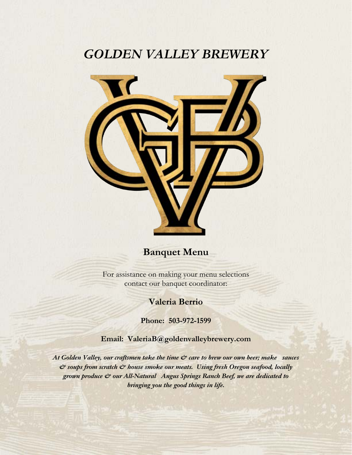# *GOLDEN VALLEY BREWERY*



# **Banquet Menu**

For assistance on making your menu selections contact our banquet coordinator:

# **Valeria Berrio**

**Phone: 503-972-1599**

**Email: ValeriaB@goldenvalleybrewery.com**

*At Golden Valley, our craftsmen take the time & care to brew our own beer; make sauces & soups from scratch & house smoke our meats. Using fresh Oregon seafood, locally grown produce & our All-Natural Angus Springs Ranch Beef, we are dedicated to bringing you the good things in life.*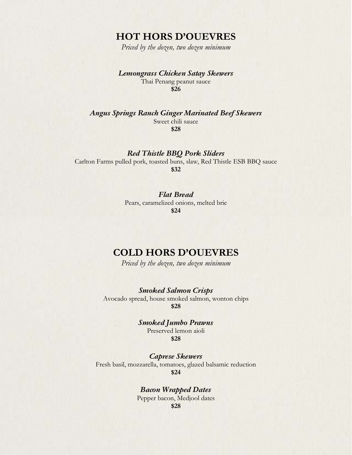# **HOT HORS D'OUEVRES**

*Priced by the dozen, two dozen minimum*

### *Lemongrass Chicken Satay Skewers*

Thai Penang peanut sauce **\$26**

*Angus Springs Ranch Ginger Marinated Beef Skewers*

Sweet chili sauce **\$28**

### *Red Thistle BBQ Pork Sliders*

Carlton Farms pulled pork, toasted buns, slaw, Red Thistle ESB BBQ sauce **\$32**

### *Flat Bread*

Pears, caramelized onions, melted brie **\$24** 

# **COLD HORS D'OUEVRES**

*Priced by the dozen, two dozen minimum*

### *Smoked Salmon Crisps*

Avocado spread, house smoked salmon, wonton chips **\$28**

> *Smoked Jumbo Prawns* Preserved lemon aioli

> > **\$28**

*Caprese Skewers* Fresh basil, mozzarella, tomatoes, glazed balsamic reduction **\$24** 

> *Bacon Wrapped Dates* Pepper bacon, Medjool dates **\$28**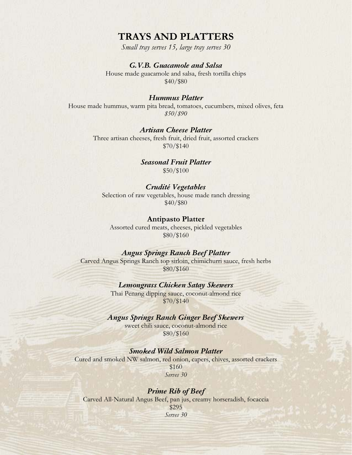# **TRAYS AND PLATTERS**

*Small tray serves 15, large tray serves 30*

### *G.V.B. Guacamole and Salsa*

House made guacamole and salsa, fresh tortilla chips \$40/\$80

#### *Hummus Platter*

House made hummus, warm pita bread, tomatoes, cucumbers, mixed olives, feta *\$50/\$90* 

### *Artisan Cheese Platter*

Three artisan cheeses, fresh fruit, dried fruit, assorted crackers \$70/\$140

> *Seasonal Fruit Platter* \$50/\$100

#### *Crudité Vegetables*

Selection of raw vegetables, house made ranch dressing \$40/\$80

#### **Antipasto Platter**

Assorted cured meats, cheeses, pickled vegetables \$80/\$160

#### *Angus Springs Ranch Beef Platter*

Carved Angus Springs Ranch top sirloin, chimichurri sauce, fresh herbs \$80/\$160

### *Lemongrass Chicken Satay Skewers*

Thai Penang dipping sauce, coconut-almond rice \$70/\$140

### *Angus Springs Ranch Ginger Beef Skewers*

sweet chili sauce, coconut-almond rice \$80/\$160

### *Smoked Wild Salmon Platter*

Cured and smoked NW salmon, red onion, capers, chives, assorted crackers \$160 *Serves 30* 

#### *Prime Rib of Beef*

Carved All-Natural Angus Beef, pan jus, creamy horseradish, focaccia \$295 *Serves 30*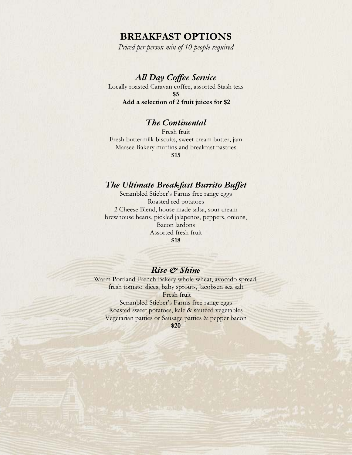# **BREAKFAST OPTIONS**

*Priced per person min of 10 people required* 

## *All Day Coffee Service*

Locally roasted Caravan coffee, assorted Stash teas **\$5 Add a selection of 2 fruit juices for \$2** 

### *The Continental*

Fresh fruit Fresh buttermilk biscuits, sweet cream butter, jam Marsee Bakery muffins and breakfast pastries **\$15** 

### *The Ultimate Breakfast Burrito Buffet*

Scrambled Stieber's Farms free range eggs Roasted red potatoes 2 Cheese Blend, house made salsa, sour cream brewhouse beans, pickled jalapenos, peppers, onions, Bacon lardons Assorted fresh fruit **\$18** 

### *Rise & Shine*

Warm Portland French Bakery whole wheat, avocado spread, fresh tomato slices, baby sprouts, Jacobsen sea salt Fresh fruit Scrambled Stieber's Farms free range eggs Roasted sweet potatoes, kale & sautéed vegetables Vegetarian patties or Sausage patties & pepper bacon

**\$20**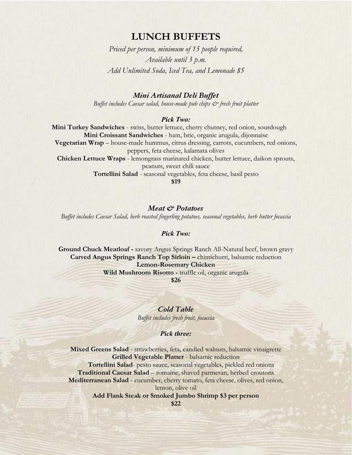# **LUNCH BUFFETS**

*Priced per person, minimum of 15 people required, Available until 3 p.m. Add Unlimited Soda, Iced Tea, and Lemonade \$5* 

### *Mini Artisanal Deli Buffet*

*Buffet includes Caesar salad, house-made pub chips*  $\mathcal{O}^*$  *fresh fruit platter* 

#### *Pick Two:*

**Mini Turkey Sandwiches** - swiss, butter lettuce, cherry chutney, red onion, sourdough **Mini Croissant Sandwiches** - ham, brie, organic arugula, dijonnaise **Vegetarian Wrap** – house-made hummus, citrus dressing, carrots, cucumbers, red onions, peppers, feta cheese, kalamata olives **Chicken Lettuce Wraps** - lemongrass marinated chicken, butter lettuce, daikon sprouts, peanuts, sweet chili sauce **Tortellini Salad** - seasonal vegetables, feta cheese, basil pesto **\$19** 

*Meat & Potatoes*

*Buffet includes Caesar Salad, herb roasted fingerling potatoes, seasonal vegetables, herb butter focaccia* 

#### *Pick Two:*

**Ground Chuck Meatloaf -** savory Angus Springs Ranch All-Natural beef, brown gravy **Carved Angus Springs Ranch Top Sirloin –** chimichurri, balsamic reduction **Lemon-Rosemary Chicken**  Wild Mushroom Risotto - truffle oil, organic arugula

**\$26** 

*Cold Table Buffet includes fresh fruit, focaccia* 

#### *Pick three:*

**Mixed Greens Salad** - strawberries, feta, candied walnuts, balsamic vinaigrette **Grilled Vegetable Platter** - balsamic reduction  **Tortellini Salad**- pesto sauce, seasonal vegetables, pickled red onions **Traditional Caesar Salad** – romaine, shaved parmesan, herbed croutons **Mediterranean Salad** - cucumber, cherry tomato, feta cheese, olives, red onion, lemon, olive oil **Add Flank Steak or Smoked Jumbo Shrimp \$3 per person**

**\$22**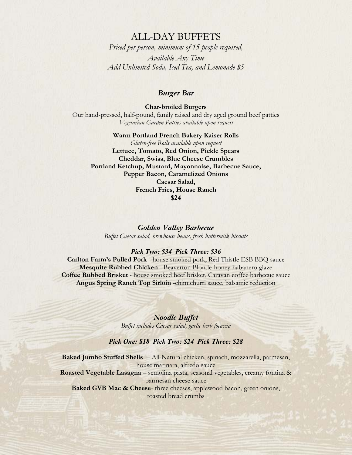### ALL-DAY BUFFETS

*Priced per person, minimum of 15 people required, Available Any Time Add Unlimited Soda, Iced Tea, and Lemonade \$5* 

### *Burger Bar*

**Char-broiled Burgers**  Our hand-pressed, half-pound, family raised and dry aged ground beef patties *Vegetarian Garden Patties available upon request* 

**Warm Portland French Bakery Kaiser Rolls**  *Gluten-free Rolls available upon request* **Lettuce, Tomato, Red Onion, Pickle Spears Cheddar, Swiss, Blue Cheese Crumbles Portland Ketchup, Mustard, Mayonnaise, Barbecue Sauce, Pepper Bacon, Caramelized Onions Caesar Salad, French Fries, House Ranch \$24** 

*Golden Valley Barbecue Buffet Caesar salad, brewhouse beans, fresh buttermilk biscuits* 

#### *Pick Two: \$34 Pick Three: \$36*

**Carlton Farm's Pulled Pork** - house smoked pork, Red Thistle ESB BBQ sauce **Mesquite Rubbed Chicken** - Beaverton Blonde-honey-habanero glaze **Coffee Rubbed Brisket** - house smoked beef brisket, Caravan coffee barbecue sauce **Angus Spring Ranch Top Sirloin** -chimichurri sauce, balsamic reduction

> *Noodle Buffet Buffet includes Caesar salad, garlic herb focaccia*

### *Pick One: \$18 Pick Two: \$24 Pick Three: \$28*

**Baked Jumbo Stuffed Shells** – All-Natural chicken, spinach, mozzarella, parmesan, house marinara, alfredo sauce **Roasted Vegetable Lasagna** – semolina pasta, seasonal vegetables, creamy fontina & parmesan cheese sauce **Baked GVB Mac & Cheese**- three cheeses, applewood bacon, green onions, toasted bread crumbs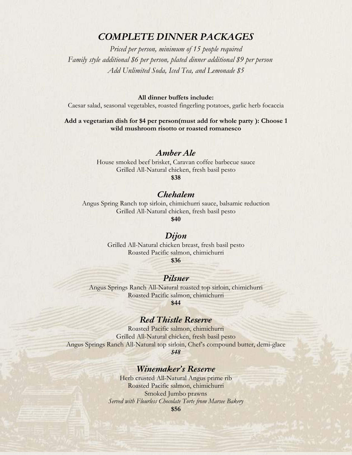# *COMPLETE DINNER PACKAGES*

*Priced per person, minimum of 15 people required Family style additional \$6 per person, plated dinner additional \$9 per person Add Unlimited Soda, Iced Tea, and Lemonade \$5* 

**All dinner buffets include:** 

Caesar salad, seasonal vegetables, roasted fingerling potatoes, garlic herb focaccia

#### **Add a vegetarian dish for \$4 per person(must add for whole party ): Choose 1 wild mushroom risotto or roasted romanesco**

### *Amber Ale*

House smoked beef brisket, Caravan coffee barbecue sauce Grilled All-Natural chicken, fresh basil pesto

**\$38** 

### *Chehalem*

Angus Spring Ranch top sirloin, chimichurri sauce, balsamic reduction Grilled All-Natural chicken, fresh basil pesto

**\$40**

### *Dijon*

Grilled All-Natural chicken breast, fresh basil pesto Roasted Pacific salmon, chimichurri **\$36**

## *Pilsner*

Angus Springs Ranch All-Natural roasted top sirloin, chimichurri Roasted Pacific salmon, chimichurri

**\$44**

# *Red Thistle Reserve*

Roasted Pacific salmon, chimichurri Grilled All-Natural chicken, fresh basil pesto Angus Springs Ranch All-Natural top sirloin, Chef's compound butter, demi-glace *\$48*

### *Winemaker's Reserve*

Herb crusted All-Natural Angus prime rib Roasted Pacific salmon, chimichurri Smoked Jumbo prawns *Served with Flourless Chocolate Torte from Marsee Bakery*  **\$56**